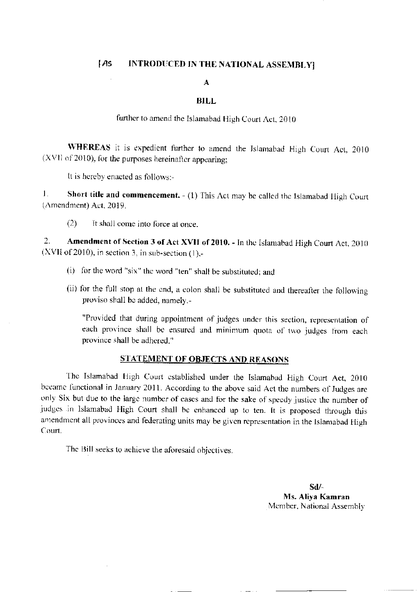## $[AS]$ INTRODUCED IN THE NATIONAL ASSEMBLY]

## $\mathbf{A}$

## **BILL**

further to amend the Islamabad High Court Act, 2010

WHEREAS it is expedient further to amend the Islamabad High Court Act, 2010 (XVII of 2010), for the purposes hereinafter appearing;

It is hereby enacted as follows:-

 $\mathbf{1}$ . Short title and commencement.  $- (1)$  This Act may be called the Islamabad High Court (Amendment) Act, 2019.

 $(2)$ It shall come into force at once.

 $\overline{2}$ . Amendment of Section 3 of Act XVII of 2010. - In the Islamabad High Court Act, 2010 (XVII of 2010), in section 3, in sub-section  $(1)$ ,-

- (i) for the word "six" the word "ten" shall be substituted; and
- (ii) for the full stop at the end, a colon shall be substituted and thereafter the following proviso shall be added, namely,-

"Provided that during appointment of judges under this section, representation of each province shall be ensured and minimum quota of two judges from each province shall be adhered."

## **STATEMENT OF OBJECTS AND REASONS**

The Islamabad High Court established under the Islamabad High Court Act, 2010 became functional in January 2011. According to the above said Act the numbers of Judges are only Six but due to the large number of cases and for the sake of speedy justice the number of judges in Islamabad High Court shall be enhanced up to ten. It is proposed through this amendment all provinces and federating units may be given representation in the Islamabad High Court.

The Bill seeks to achieve the aforesaid objectives.

 $Sd/$ Ms. Aliya Kamran Member, National Assembly